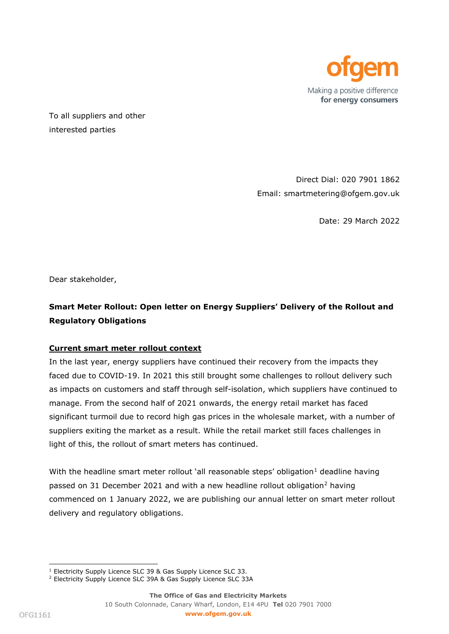

To all suppliers and other interested parties

> Direct Dial: 020 7901 1862 Email: smartmetering@ofgem.gov.uk

> > Date: 29 March 2022

Dear stakeholder,

# **Smart Meter Rollout: Open letter on Energy Suppliers' Delivery of the Rollout and Regulatory Obligations**

## **Current smart meter rollout context**

In the last year, energy suppliers have continued their recovery from the impacts they faced due to COVID-19. In 2021 this still brought some challenges to rollout delivery such as impacts on customers and staff through self-isolation, which suppliers have continued to manage. From the second half of 2021 onwards, the energy retail market has faced significant turmoil due to record high gas prices in the wholesale market, with a number of suppliers exiting the market as a result. While the retail market still faces challenges in light of this, the rollout of smart meters has continued.

With the headline smart meter rollout 'all reasonable steps' obligation $<sup>1</sup>$  deadline having</sup> passed on 31 December 2021 and with a new headline rollout obligation<sup>2</sup> having commenced on 1 January 2022, we are publishing our annual letter on smart meter rollout delivery and regulatory obligations.

<sup>&</sup>lt;sup>1</sup> Electricity Supply Licence SLC 39 & Gas Supply Licence SLC 33.

<sup>&</sup>lt;sup>2</sup> Electricity Supply Licence SLC 39A & Gas Supply Licence SLC 33A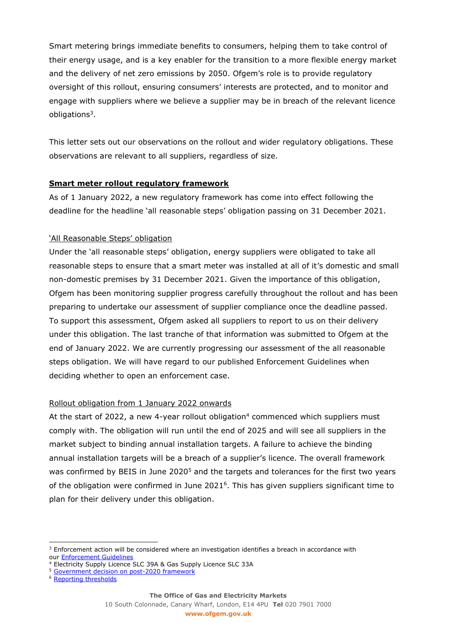Smart metering brings immediate benefits to consumers, helping them to take control of their energy usage, and is a key enabler for the transition to a more flexible energy market and the delivery of net zero emissions by 2050. Ofgem's role is to provide regulatory oversight of this rollout, ensuring consumers' interests are protected, and to monitor and engage with suppliers where we believe a supplier may be in breach of the relevant licence obligations<sup>3</sup>.

This letter sets out our observations on the rollout and wider regulatory obligations. These observations are relevant to all suppliers, regardless of size.

## **Smart meter rollout regulatory framework**

As of 1 January 2022, a new regulatory framework has come into effect following the deadline for the headline 'all reasonable steps' obligation passing on 31 December 2021.

## 'All Reasonable Steps' obligation

Under the 'all reasonable steps' obligation, energy suppliers were obligated to take all reasonable steps to ensure that a smart meter was installed at all of it's domestic and small non-domestic premises by 31 December 2021. Given the importance of this obligation, Ofgem has been monitoring supplier progress carefully throughout the rollout and has been preparing to undertake our assessment of supplier compliance once the deadline passed. To support this assessment, Ofgem asked all suppliers to report to us on their delivery under this obligation. The last tranche of that information was submitted to Ofgem at the end of January 2022. We are currently progressing our assessment of the all reasonable steps obligation. We will have regard to our published Enforcement Guidelines when deciding whether to open an enforcement case.

## Rollout obligation from 1 January 2022 onwards

At the start of 2022, a new 4-year rollout obligation<sup>4</sup> commenced which suppliers must comply with. The obligation will run until the end of 2025 and will see all suppliers in the market subject to binding annual installation targets. A failure to achieve the binding annual installation targets will be a breach of a supplier's licence. The overall framework was confirmed by BEIS in June 2020<sup>5</sup> and the targets and tolerances for the first two years of the obligation were confirmed in June  $2021<sup>6</sup>$ . This has given suppliers significant time to plan for their delivery under this obligation.

10 South Colonnade, Canary Wharf, London, E14 4PU **Tel** 020 7901 7000

<sup>&</sup>lt;sup>3</sup> Enforcement action will be considered where an investigation identifies a breach in accordance with our [Enforcement Guidelines](https://www.ofgem.gov.uk/publications-and-updates/enforcement-guidelines)

<sup>4</sup> Electricity Supply Licence SLC 39A & Gas Supply Licence SLC 33A

<sup>5</sup> [Government decision on post-2020 framework](https://www.gov.uk/government/consultations/smart-meter-policy-framework-post-2020)

<sup>6</sup> [Reporting thresholds](https://assets.publishing.service.gov.uk/government/uploads/system/uploads/attachment_data/file/990525/smart-meter-policy-framework-post-2020-govt-response-minimum-annual-targets.pdf)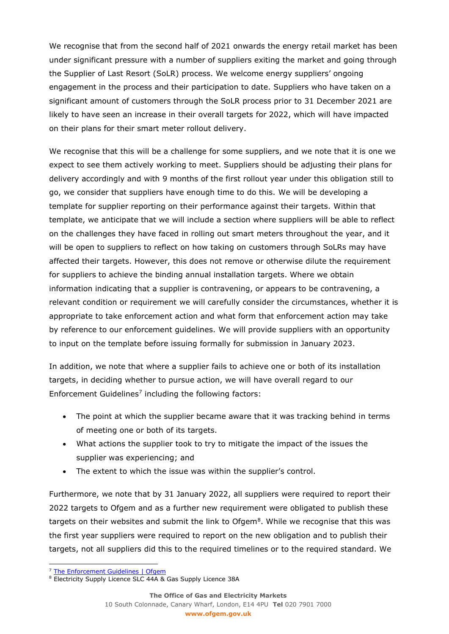We recognise that from the second half of 2021 onwards the energy retail market has been under significant pressure with a number of suppliers exiting the market and going through the Supplier of Last Resort (SoLR) process. We welcome energy suppliers' ongoing engagement in the process and their participation to date. Suppliers who have taken on a significant amount of customers through the SoLR process prior to 31 December 2021 are likely to have seen an increase in their overall targets for 2022, which will have impacted on their plans for their smart meter rollout delivery.

We recognise that this will be a challenge for some suppliers, and we note that it is one we expect to see them actively working to meet. Suppliers should be adjusting their plans for delivery accordingly and with 9 months of the first rollout year under this obligation still to go, we consider that suppliers have enough time to do this. We will be developing a template for supplier reporting on their performance against their targets. Within that template, we anticipate that we will include a section where suppliers will be able to reflect on the challenges they have faced in rolling out smart meters throughout the year, and it will be open to suppliers to reflect on how taking on customers through SoLRs may have affected their targets. However, this does not remove or otherwise dilute the requirement for suppliers to achieve the binding annual installation targets. Where we obtain information indicating that a supplier is contravening, or appears to be contravening, a relevant condition or requirement we will carefully consider the circumstances, whether it is appropriate to take enforcement action and what form that enforcement action may take by reference to our enforcement guidelines. We will provide suppliers with an opportunity to input on the template before issuing formally for submission in January 2023.

In addition, we note that where a supplier fails to achieve one or both of its installation targets, in deciding whether to pursue action, we will have overall regard to our Enforcement Guidelines<sup>7</sup> including the following factors:

- The point at which the supplier became aware that it was tracking behind in terms of meeting one or both of its targets.
- What actions the supplier took to try to mitigate the impact of the issues the supplier was experiencing; and
- The extent to which the issue was within the supplier's control.

Furthermore, we note that by 31 January 2022, all suppliers were required to report their 2022 targets to Ofgem and as a further new requirement were obligated to publish these targets on their websites and submit the link to Ofgem $^8$ . While we recognise that this was the first year suppliers were required to report on the new obligation and to publish their targets, not all suppliers did this to the required timelines or to the required standard. We

<sup>&</sup>lt;sup>7</sup> [The Enforcement Guidelines | Ofgem](https://www.ofgem.gov.uk/publications/enforcement-guidelines)

<sup>&</sup>lt;sup>8</sup> Electricity Supply Licence SLC 44A & Gas Supply Licence 38A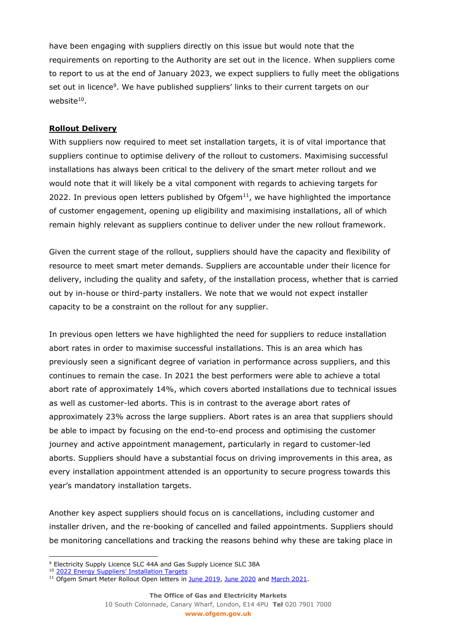have been engaging with suppliers directly on this issue but would note that the requirements on reporting to the Authority are set out in the licence. When suppliers come to report to us at the end of January 2023, we expect suppliers to fully meet the obligations set out in licence<sup>9</sup>. We have published suppliers' links to their current targets on our website $^{10}$ .

## **Rollout Delivery**

With suppliers now required to meet set installation targets, it is of vital importance that suppliers continue to optimise delivery of the rollout to customers. Maximising successful installations has always been critical to the delivery of the smart meter rollout and we would note that it will likely be a vital component with regards to achieving targets for 2022. In previous open letters published by Ofgem $11$ , we have highlighted the importance of customer engagement, opening up eligibility and maximising installations, all of which remain highly relevant as suppliers continue to deliver under the new rollout framework.

Given the current stage of the rollout, suppliers should have the capacity and flexibility of resource to meet smart meter demands. Suppliers are accountable under their licence for delivery, including the quality and safety, of the installation process, whether that is carried out by in-house or third-party installers. We note that we would not expect installer capacity to be a constraint on the rollout for any supplier.

In previous open letters we have highlighted the need for suppliers to reduce installation abort rates in order to maximise successful installations. This is an area which has previously seen a significant degree of variation in performance across suppliers, and this continues to remain the case. In 2021 the best performers were able to achieve a total abort rate of approximately 14%, which covers aborted installations due to technical issues as well as customer-led aborts. This is in contrast to the average abort rates of approximately 23% across the large suppliers. Abort rates is an area that suppliers should be able to impact by focusing on the end-to-end process and optimising the customer journey and active appointment management, particularly in regard to customer-led aborts. Suppliers should have a substantial focus on driving improvements in this area, as every installation appointment attended is an opportunity to secure progress towards this year's mandatory installation targets.

Another key aspect suppliers should focus on is cancellations, including customer and installer driven, and the re-booking of cancelled and failed appointments. Suppliers should be monitoring cancellations and tracking the reasons behind why these are taking place in

<sup>&</sup>lt;sup>9</sup> Electricity Supply Licence SLC 44A and Gas Supply Licence SLC 38A

<sup>&</sup>lt;sup>10</sup> [2022 Energy Suppliers' Installation Targets](https://www.ofgem.gov.uk/energy-policy-and-regulation/policy-and-regulatory-programmes/smart-meter-transition-and-data-communications-company-dcc/supplier-smart-metering-installation-targets)

<sup>&</sup>lt;sup>11</sup> Ofgem Smart Meter Rollout Open letters in [June 2019,](https://www.ofgem.gov.uk/publications/smart-meter-rollout-energy-suppliers-progress-and-future-plans-open-letter-june-2019) [June 2020](https://www.ofgem.gov.uk/publications/smart-meter-rollout-energy-suppliers-progress-and-future-plans-open-letter-june-2020) an[d March 2021.](https://www.ofgem.gov.uk/publications/smart-meter-rollout-energy-suppliers-rollout-delivery-open-letter-march-2021)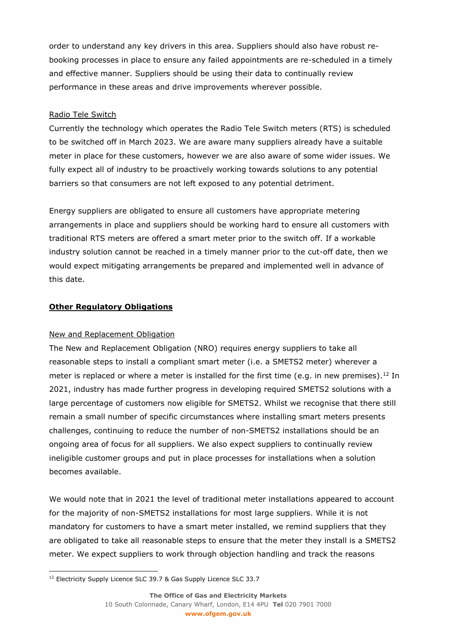order to understand any key drivers in this area. Suppliers should also have robust rebooking processes in place to ensure any failed appointments are re-scheduled in a timely and effective manner. Suppliers should be using their data to continually review performance in these areas and drive improvements wherever possible.

## Radio Tele Switch

Currently the technology which operates the Radio Tele Switch meters (RTS) is scheduled to be switched off in March 2023. We are aware many suppliers already have a suitable meter in place for these customers, however we are also aware of some wider issues. We fully expect all of industry to be proactively working towards solutions to any potential barriers so that consumers are not left exposed to any potential detriment.

Energy suppliers are obligated to ensure all customers have appropriate metering arrangements in place and suppliers should be working hard to ensure all customers with traditional RTS meters are offered a smart meter prior to the switch off. If a workable industry solution cannot be reached in a timely manner prior to the cut-off date, then we would expect mitigating arrangements be prepared and implemented well in advance of this date.

## **Other Regulatory Obligations**

## New and Replacement Obligation

The New and Replacement Obligation (NRO) requires energy suppliers to take all reasonable steps to install a compliant smart meter (i.e. a SMETS2 meter) wherever a meter is replaced or where a meter is installed for the first time (e.g. in new premises).<sup>12</sup> In 2021, industry has made further progress in developing required SMETS2 solutions with a large percentage of customers now eligible for SMETS2. Whilst we recognise that there still remain a small number of specific circumstances where installing smart meters presents challenges, continuing to reduce the number of non-SMETS2 installations should be an ongoing area of focus for all suppliers. We also expect suppliers to continually review ineligible customer groups and put in place processes for installations when a solution becomes available.

We would note that in 2021 the level of traditional meter installations appeared to account for the majority of non-SMETS2 installations for most large suppliers. While it is not mandatory for customers to have a smart meter installed, we remind suppliers that they are obligated to take all reasonable steps to ensure that the meter they install is a SMETS2 meter. We expect suppliers to work through objection handling and track the reasons

<sup>&</sup>lt;sup>12</sup> Electricity Supply Licence SLC 39.7 & Gas Supply Licence SLC 33.7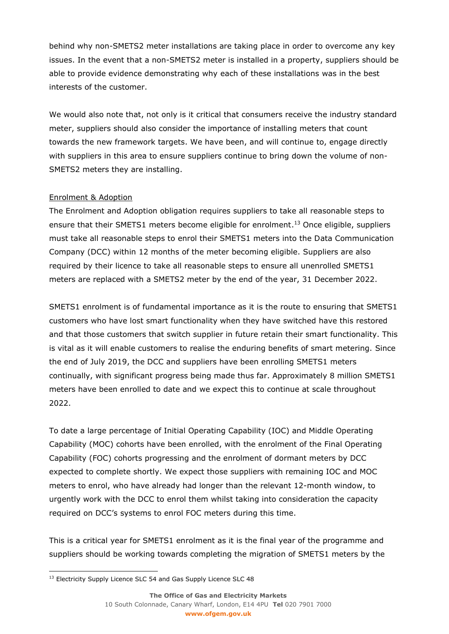behind why non-SMETS2 meter installations are taking place in order to overcome any key issues. In the event that a non-SMETS2 meter is installed in a property, suppliers should be able to provide evidence demonstrating why each of these installations was in the best interests of the customer.

We would also note that, not only is it critical that consumers receive the industry standard meter, suppliers should also consider the importance of installing meters that count towards the new framework targets. We have been, and will continue to, engage directly with suppliers in this area to ensure suppliers continue to bring down the volume of non-SMETS2 meters they are installing.

## Enrolment & Adoption

The Enrolment and Adoption obligation requires suppliers to take all reasonable steps to ensure that their SMETS1 meters become eligible for enrolment.<sup>13</sup> Once eligible, suppliers must take all reasonable steps to enrol their SMETS1 meters into the Data Communication Company (DCC) within 12 months of the meter becoming eligible. Suppliers are also required by their licence to take all reasonable steps to ensure all unenrolled SMETS1 meters are replaced with a SMETS2 meter by the end of the year, 31 December 2022.

SMETS1 enrolment is of fundamental importance as it is the route to ensuring that SMETS1 customers who have lost smart functionality when they have switched have this restored and that those customers that switch supplier in future retain their smart functionality. This is vital as it will enable customers to realise the enduring benefits of smart metering. Since the end of July 2019, the DCC and suppliers have been enrolling SMETS1 meters continually, with significant progress being made thus far. Approximately 8 million SMETS1 meters have been enrolled to date and we expect this to continue at scale throughout 2022.

To date a large percentage of Initial Operating Capability (IOC) and Middle Operating Capability (MOC) cohorts have been enrolled, with the enrolment of the Final Operating Capability (FOC) cohorts progressing and the enrolment of dormant meters by DCC expected to complete shortly. We expect those suppliers with remaining IOC and MOC meters to enrol, who have already had longer than the relevant 12-month window, to urgently work with the DCC to enrol them whilst taking into consideration the capacity required on DCC's systems to enrol FOC meters during this time.

This is a critical year for SMETS1 enrolment as it is the final year of the programme and suppliers should be working towards completing the migration of SMETS1 meters by the

<sup>&</sup>lt;sup>13</sup> Electricity Supply Licence SLC 54 and Gas Supply Licence SLC 48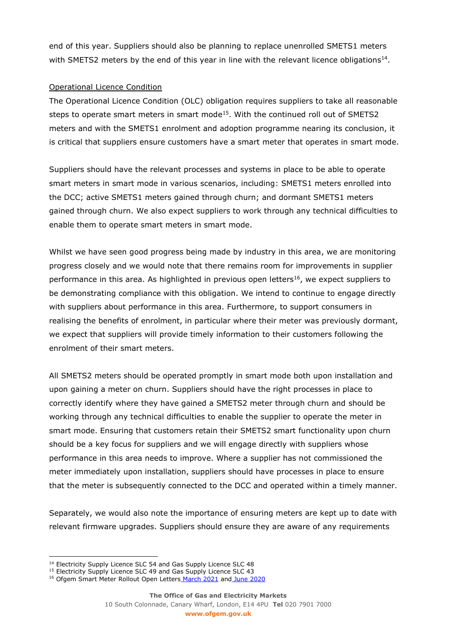end of this year. Suppliers should also be planning to replace unenrolled SMETS1 meters with SMETS2 meters by the end of this year in line with the relevant licence obligations<sup>14</sup>.

## Operational Licence Condition

The Operational Licence Condition (OLC) obligation requires suppliers to take all reasonable steps to operate smart meters in smart mode<sup>15</sup>. With the continued roll out of SMETS2 meters and with the SMETS1 enrolment and adoption programme nearing its conclusion, it is critical that suppliers ensure customers have a smart meter that operates in smart mode.

Suppliers should have the relevant processes and systems in place to be able to operate smart meters in smart mode in various scenarios, including: SMETS1 meters enrolled into the DCC; active SMETS1 meters gained through churn; and dormant SMETS1 meters gained through churn. We also expect suppliers to work through any technical difficulties to enable them to operate smart meters in smart mode.

Whilst we have seen good progress being made by industry in this area, we are monitoring progress closely and we would note that there remains room for improvements in supplier performance in this area. As highlighted in previous open letters<sup>16</sup>, we expect suppliers to be demonstrating compliance with this obligation. We intend to continue to engage directly with suppliers about performance in this area. Furthermore, to support consumers in realising the benefits of enrolment, in particular where their meter was previously dormant, we expect that suppliers will provide timely information to their customers following the enrolment of their smart meters.

All SMETS2 meters should be operated promptly in smart mode both upon installation and upon gaining a meter on churn. Suppliers should have the right processes in place to correctly identify where they have gained a SMETS2 meter through churn and should be working through any technical difficulties to enable the supplier to operate the meter in smart mode. Ensuring that customers retain their SMETS2 smart functionality upon churn should be a key focus for suppliers and we will engage directly with suppliers whose performance in this area needs to improve. Where a supplier has not commissioned the meter immediately upon installation, suppliers should have processes in place to ensure that the meter is subsequently connected to the DCC and operated within a timely manner.

Separately, we would also note the importance of ensuring meters are kept up to date with relevant firmware upgrades. Suppliers should ensure they are aware of any requirements

<sup>&</sup>lt;sup>14</sup> Electricity Supply Licence SLC 54 and Gas Supply Licence SLC 48

<sup>&</sup>lt;sup>15</sup> Electricity Supply Licence SLC 49 and Gas Supply Licence SLC 43

<sup>&</sup>lt;sup>16</sup> Ofgem Smart Meter Rollout Open Letters [March 2021](https://www.ofgem.gov.uk/publications/smart-meter-rollout-energy-suppliers-rollout-delivery-open-letter-march-2021) and [June 2020](https://www.ofgem.gov.uk/publications/smart-meter-rollout-energy-suppliers-progress-and-future-plans-open-letter-june-2020)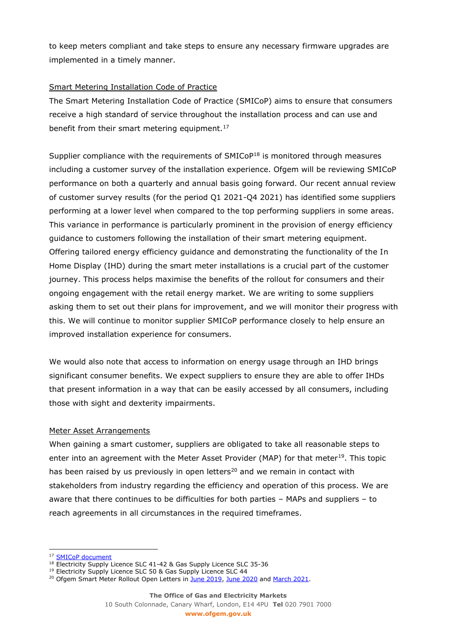to keep meters compliant and take steps to ensure any necessary firmware upgrades are implemented in a timely manner.

## Smart Metering Installation Code of Practice

The Smart Metering Installation Code of Practice (SMICoP) aims to ensure that consumers receive a high standard of service throughout the installation process and can use and benefit from their smart metering equipment.<sup>17</sup>

Supplier compliance with the requirements of SMICoP<sup>18</sup> is monitored through measures including a customer survey of the installation experience. Ofgem will be reviewing SMICoP performance on both a quarterly and annual basis going forward. Our recent annual review of customer survey results (for the period Q1 2021-Q4 2021) has identified some suppliers performing at a lower level when compared to the top performing suppliers in some areas. This variance in performance is particularly prominent in the provision of energy efficiency guidance to customers following the installation of their smart metering equipment. Offering tailored energy efficiency guidance and demonstrating the functionality of the In Home Display (IHD) during the smart meter installations is a crucial part of the customer journey. This process helps maximise the benefits of the rollout for consumers and their ongoing engagement with the retail energy market. We are writing to some suppliers asking them to set out their plans for improvement, and we will monitor their progress with this. We will continue to monitor supplier SMICoP performance closely to help ensure an improved installation experience for consumers.

We would also note that access to information on energy usage through an IHD brings significant consumer benefits. We expect suppliers to ensure they are able to offer IHDs that present information in a way that can be easily accessed by all consumers, including those with sight and dexterity impairments.

## Meter Asset Arrangements

When gaining a smart customer, suppliers are obligated to take all reasonable steps to enter into an agreement with the Meter Asset Provider (MAP) for that meter<sup>19</sup>. This topic has been raised by us previously in open letters<sup>20</sup> and we remain in contact with stakeholders from industry regarding the efficiency and operation of this process. We are aware that there continues to be difficulties for both parties – MAPs and suppliers – to reach agreements in all circumstances in the required timeframes.

<sup>&</sup>lt;sup>17</sup> SMICoP document

<sup>&</sup>lt;sup>18</sup> Electricity Supply Licence SLC 41-42 & Gas Supply Licence SLC 35-36

<sup>&</sup>lt;sup>19</sup> Electricity Supply Licence SLC 50 & Gas Supply Licence SLC 44

<sup>&</sup>lt;sup>20</sup> Ofgem Smart Meter Rollout Open Letters in [June 2019,](https://www.ofgem.gov.uk/publications/smart-meter-rollout-energy-suppliers-progress-and-future-plans-open-letter-june-2019) [June 2020](https://www.ofgem.gov.uk/publications/smart-meter-rollout-energy-suppliers-progress-and-future-plans-open-letter-june-2020) and [March 2021.](https://www.ofgem.gov.uk/publications/smart-meter-rollout-energy-suppliers-rollout-delivery-open-letter-march-2021)